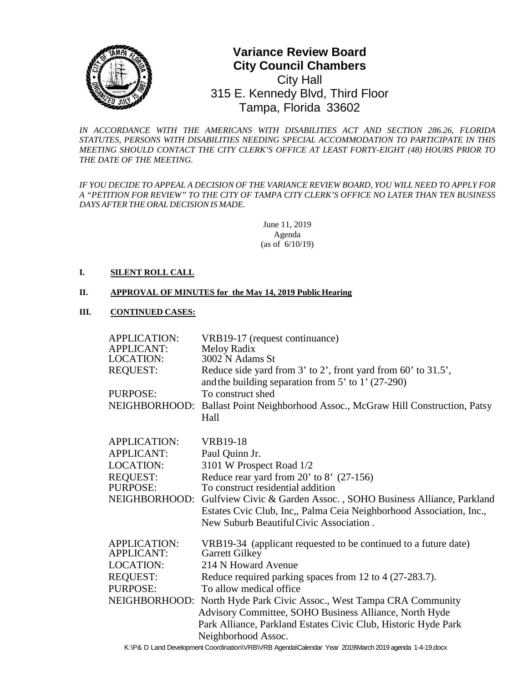

# **0** Tampa, Florida 33602**Variance Review Board City Council Chambers**  City Hall 315 E. Kennedy Blvd, Third Floor

*IN ACCORDANCE WITH THE AMERICANS WITH DISABILITIES ACT AND SECTION 286.26, FLORIDA STATUTES, PERSONS WITH DISABILITIES NEEDING SPECIAL ACCOMMODATION TO PARTICIPATE IN THIS MEETING SHOULD CONTACT THE CITY CLERK'S OFFICE AT LEAST FORTY-EIGHT (48) HOURS PRIOR TO THE DATE OF THE MEETING.*

*IF YOU DECIDE TO APPEAL A DECISION OF THE VARIANCE REVIEW BOARD, YOU WILL NEED TO APPLY FOR A "PETITION FOR REVIEW" TO THE CITY OF TAMPA CITY CLERK'S OFFICE NO LATER THAN TEN BUSINESS DAYS AFTER THE ORAL DECISIONIS MADE.*

> June 11, 2019 Agenda (as of 6/10/19)

### **I. SILENT ROLL CALL**

#### **II. APPROVAL OF MINUTES for the May 14, 2019 Public Hearing**

#### **III. CONTINUED CASES:**

| <b>APPLICATION:</b><br><b>APPLICANT:</b> | VRB19-17 (request continuance)<br>Meloy Radix                                                                           |
|------------------------------------------|-------------------------------------------------------------------------------------------------------------------------|
| <b>LOCATION:</b>                         | 3002 N Adams St                                                                                                         |
| <b>REQUEST:</b>                          | Reduce side yard from 3' to 2', front yard from 60' to 31.5',<br>and the building separation from $5'$ to $1'$ (27-290) |
| PURPOSE:                                 | To construct shed                                                                                                       |
| NEIGHBORHOOD:                            | Ballast Point Neighborhood Assoc., McGraw Hill Construction, Patsy<br>Hall                                              |
| <b>APPLICATION:</b>                      | <b>VRB19-18</b>                                                                                                         |
| <b>APPLICANT:</b>                        | Paul Quinn Jr.                                                                                                          |
| <b>LOCATION:</b>                         | 3101 W Prospect Road 1/2                                                                                                |
| <b>REQUEST:</b>                          | Reduce rear yard from $20'$ to $8'$ (27-156)                                                                            |
| PURPOSE:                                 | To construct residential addition                                                                                       |
| NEIGHBORHOOD:                            | Gulfview Civic & Garden Assoc., SOHO Business Alliance, Parkland                                                        |
|                                          | Estates Cvic Club, Inc., Palma Ceia Neighborhood Association, Inc.,                                                     |
|                                          | New Suburb Beautiful Civic Association.                                                                                 |
| <b>APPLICATION:</b><br><b>APPLICANT:</b> | VRB19-34 (applicant requested to be continued to a future date)<br>Garrett Gilkey                                       |
| <b>LOCATION:</b>                         | 214 N Howard Avenue                                                                                                     |
| <b>REQUEST:</b>                          | Reduce required parking spaces from 12 to 4 (27-283.7).                                                                 |
| PURPOSE:                                 | To allow medical office                                                                                                 |
|                                          | NEIGHBORHOOD: North Hyde Park Civic Assoc., West Tampa CRA Community                                                    |
|                                          | Advisory Committee, SOHO Business Alliance, North Hyde                                                                  |
|                                          | Park Alliance, Parkland Estates Civic Club, Historic Hyde Park                                                          |
|                                          | Neighborhood Assoc.                                                                                                     |
|                                          | ViDe D Lond Douglapment Coordination (VDD) VDD Agenda Colondor Veer 2010 Merch 2010 agenda 1 110 deev                   |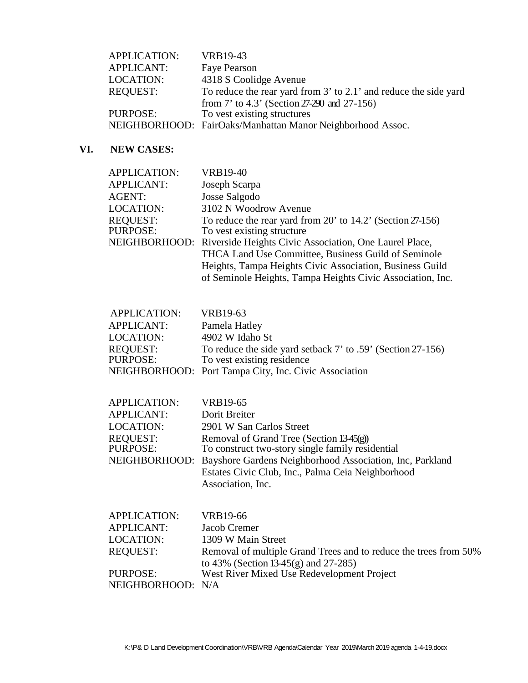| <b>APPLICATION:</b> | VRB19-43                                                         |
|---------------------|------------------------------------------------------------------|
| <b>APPLICANT:</b>   | Faye Pearson                                                     |
| <b>LOCATION:</b>    | 4318 S Coolidge Avenue                                           |
| <b>REQUEST:</b>     | To reduce the rear yard from 3' to 2.1' and reduce the side yard |
|                     | from $7'$ to $4.3'$ (Section 27-290 and 27-156)                  |
| PURPOSE:            | To vest existing structures                                      |
|                     | NEIGHBORHOOD: FairOaks/Manhattan Manor Neighborhood Assoc.       |

## **VI. NEW CASES:**

| <b>APPLICATION:</b><br><b>APPLICANT:</b><br>AGENT:<br>LOCATION:<br><b>REQUEST:</b><br>PURPOSE:               | <b>VRB19-40</b><br>Joseph Scarpa<br>Josse Salgodo<br>3102 N Woodrow Avenue<br>To reduce the rear yard from $20'$ to $14.2'$ (Section $27-156$ )<br>To vest existing structure<br>NEIGHBORHOOD: Riverside Heights Civic Association, One Laurel Place,<br>THCA Land Use Committee, Business Guild of Seminole<br>Heights, Tampa Heights Civic Association, Business Guild<br>of Seminole Heights, Tampa Heights Civic Association, Inc. |
|--------------------------------------------------------------------------------------------------------------|----------------------------------------------------------------------------------------------------------------------------------------------------------------------------------------------------------------------------------------------------------------------------------------------------------------------------------------------------------------------------------------------------------------------------------------|
| <b>APPLICATION:</b><br><b>APPLICANT:</b><br><b>LOCATION:</b><br><b>REQUEST:</b><br>PURPOSE:                  | VRB19-63<br>Pamela Hatley<br>4902 W Idaho St<br>To reduce the side yard setback 7' to .59' (Section 27-156)<br>To vest existing residence<br>NEIGHBORHOOD: Port Tampa City, Inc. Civic Association                                                                                                                                                                                                                                     |
| <b>APPLICATION:</b><br><b>APPLICANT:</b><br><b>LOCATION:</b><br><b>REQUEST:</b><br>PURPOSE:<br>NEIGHBORHOOD: | <b>VRB19-65</b><br>Dorit Breiter<br>2901 W San Carlos Street<br>Removal of Grand Tree (Section 13-45(g))<br>To construct two-story single family residential<br>Bayshore Gardens Neighborhood Association, Inc, Parkland<br>Estates Civic Club, Inc., Palma Ceia Neighborhood<br>Association, Inc.                                                                                                                                     |
| <b>APPLICATION:</b><br><b>APPLICANT:</b><br><b>LOCATION:</b><br><b>REQUEST:</b><br>PURPOSE:                  | <b>VRB19-66</b><br>Jacob Cremer<br>1309 W Main Street<br>Removal of multiple Grand Trees and to reduce the trees from 50%<br>to 43% (Section 13-45(g) and 27-285)<br>West River Mixed Use Redevelopment Project                                                                                                                                                                                                                        |

NEIGHBORHOOD: N/A